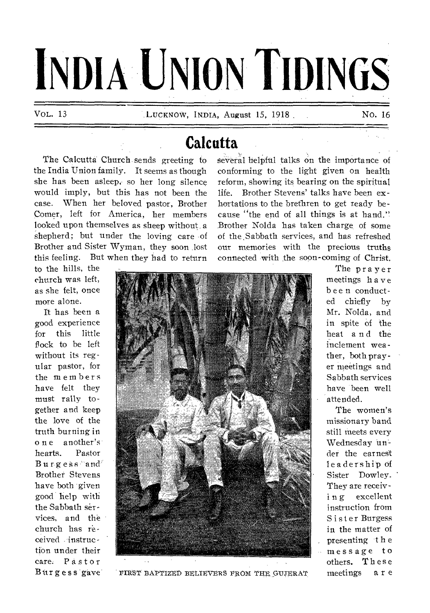# **INDIA UNION TIDINGS**

## **Calcutta**

**The Calcutta Church sends greeting to the India Union family. It seems as though**  she has been asleep, so her long silence **would imply, but this has not been the case. When her beloved pastor, Brother Comer, left for America, her members looked upon themselves as sheep without, a shepherd; but under the loving care of Brother and Sister Wyman, they soon lost this feeling. But when they had to return**  **several helpful talks on the importance of conforming to the light given on health reform, showing its bearing on the spiritual life. Brother Stevens' talks have been exhortations to the brethren to get ready because "the end of all things is at hand." Brother Nolda has taken charge of some of the Sabbath services, and has refreshed our memories with the precious truths connected with the soon-coming of Christ.** 

**to the hills, the church was left, as she felt, once more alone.** 

**It has been a good experience for this little flock to be left without its regular pastor, for the members have felt they must rally together and keep the love of the truth burning in one another's hearts. Pastor Burgess and Brother Stevens have both given good help with the Sabbath services, and the church has received instruction under their care. Pastor Burgess gave** 



FIRST BAPTIZED BELIEVERS FROM THE GUIERAT

**The prayer meetings have been conducted chiefly by Mr. Nolda, and in spite of the heat and the inclement weather, both pray er meetings and Sabbath services have been well attended.** 

**The women's missionary band still meets every Wednesday 'under the earnest leadership of Sister Dowley. They are receiv**i **n g excellent instruction from Sister Burgess in the matter of presenting - t h e message to others. These meetings a r e**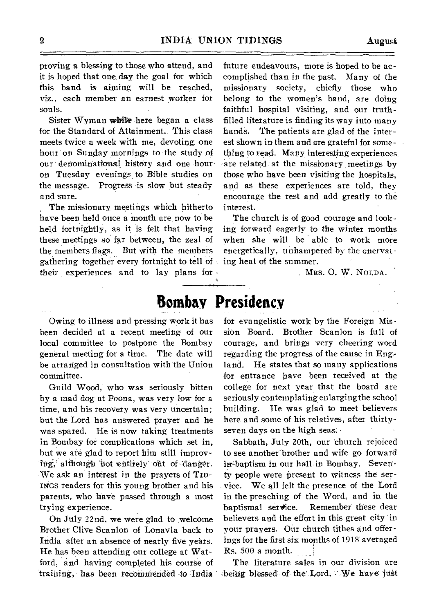proving a blessing to those who attend, and it is hoped that one, day the goal for which this band is aiming will be reached, viz., each member an earnest worker for souls.

Sister Wyman white here began a class for the Standard of Attainment.. This class meets twice a week with me, devoting one hour on Sunday mornings to the study of our denominational history and one houron Tuesday evenings, to Bible studies on the message. Progress is slow but steady and sure.

The missionary meetings which hitherto have been held once a month are now to be held fortnightly, as it is felt that having these meetings so far between, the zeal of the members flags. But with the members gathering together every fortnight to tell of • their experiences and to lay plans for -

future endeavours, more is hoped to be accomplished than in the past. Many of the missionary society, chiefly those who belong to the women's band, are doing faithful hospital visiting, and our truthfilled literature is finding its way into many hands. The patients are glad of the interest shown in them and are grateful for something to read. Many interesting experiences are related at the missionary meetings by those who have been visiting the hospitals, and as these experiences are told, they encourage the rest and add greatly to the interest.

The church is of good courage and looking forward eagerly to the winter months when she will be able to work more energetically, unhampered by the enervating heat of the summer.

MRS. 0. W. NOLDA.

#### **Bombay Presidency**

Owing to illness and pressing work it has been decided at a recent meeting of our local committee to postpone the Bombay general meeting for a time. The date will be arranged in consultation with the Union committee.

Guild Wood, who was seriously bitten by a mad dog at Poona, was very low for a time, and his recovery was very uncertain; but the Lord has answered prayer and he was spared. He is now taking treatments in Bombay for complications which set in, but we are glad to report him still improving, although not entirely out of danger. We ask an interest in the prayers of TID-INGS readers for this young brother and his parents, who have passed through a most trying experience.

On July 22nd, we were glad to welcome Brother Clive Scanlon of Lonavla back to India after an absence of nearly five years. He has been attending our college at Watford, and having completed his course of training, has been recommended to India being blessed of the Lord; We have just

for evangelistic work 'by the Foreign Mission Board. Brother Scanlon is full of courage, and brings very cheering word regarding the progress of the cause in Eng, land. He states that so many applications for entrance have been received at the college for next year that the board are seriously contemplating enlarging the school building. He was glad to meet believers here and some of his relatives, after thirtyseven days on the high seas:

Sabbath, July 20th, our church rejoiced to see another`brother and wife go forward in-baptism in our hall in Bombay. Seventy people were present to witness the service. We all felt the presence of the Lord in the preaching of the Word, and in the baptismal service. Remember these dear believers and the effort in this great city 'in your prayers. Our church tithes and offerings for the first six months of 1918' averaged Rs. 500 a month.

The literature sales in our division are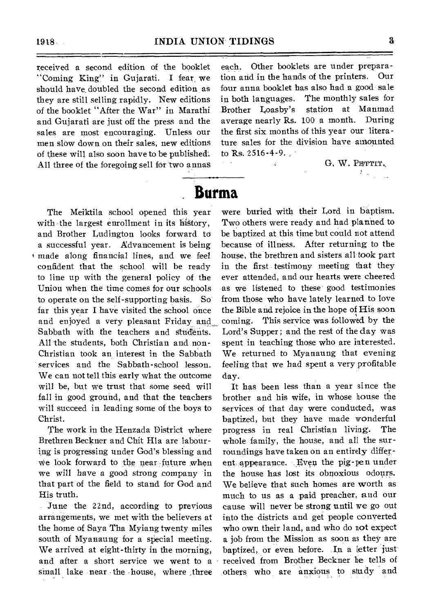received a second edition of the booklet "Coming King" in Gujarati. I fear, we should have, doubled the second edition as they are still selling rapidly. New editions of the booklet "After the War" in Marathi and Gujarati are just off the press and the sales are most encouraging. Unless our men slow down on their sales, new editions of these will also soon have to be published: All three of the foregoing sell for two annas

each. Other booklets are under preparation and in the hands of the printers. Our four anna booklet has also had a good sale in both languages. The monthly sales for Brother Loasby's station at Manmad average nearly Rs. 100 a month. During the first six months of this year our literature sales for the division have amounted to Rs. 2516-4-9.

> G, W. PETTIT.  $\frac{1}{2} \sum_{i=1}^n \frac{1}{2} \sum_{j=1}^n \frac{1}{2}$

#### **Burma**

The Meiktila school opened this year with the largest enrollment in its history, and Brother Ludington looks forward to a successful year. Advancement is being t made along financial lines, and we feel confident that the school will be ready to line up with the general policy of the Union when the time comes for our schools to operate on the self-supporting basis. So far this year I have visited the school once and enjoyed a very pleasant Friday and. Sabbath with the teachers and Students. All the students, both Christian and non-Christian took an interest in the Sabbath services and the Sabbath-school lesson. We can not tell this early what the outcome will be, but we trust that some seed will fall in good ground, and that the teachers will succeed in leading some of the boys to Christ.

The work in the Henzada District where Brethren Beckner and Chit Hla are labouring is progressing under God's blessing and we look forward to the near future when we will have a good strong company in that part of the field to stand for God and His truth.

June the 22nd, according to previous arrangements, we met with the believers at the home of Saya Tha Myiang twenty miles south of Myanaung for a special meeting. We arrived at eight-thirty in the morning, and after a short service we went to a small lake near the house, where three were buried with their Lord in baptism. Two others were ready and had planned to be baptized at this time but could not attend because of illness. After returning to the house, the brethren and sisters all took part in the first testimony meeting that they ever attended, and our hearts were cheered as we listened to these good testimonies from those who have lately learned to love the Bible and rejoice in the hope of His soon coming. This service was followed by the Lord's Supper; and the rest of the day was spent in teaching those who are interested. We returned to Myanaung that evening feeling that we had spent a very profitable day.

It has been less than a year since the brother and his wife, in whose house the services of that day were conducted, was baptized, but they have made wonderful progress in real Christian living. The whole family, the house, and all the surroundings have taken on an entirely different appearance. Even the pig-pen under the house has lost its obnoxious odours. We believe that such homes are worth as much to us as a paid preacher, and our cause will never be strong until we go out into the districts and get people converted who own their land, and who do not expect a job from the Mission as soon as they are baptized, or even before. .**In** a letter just received from Brother Beckner he tells of others who are anxious to study and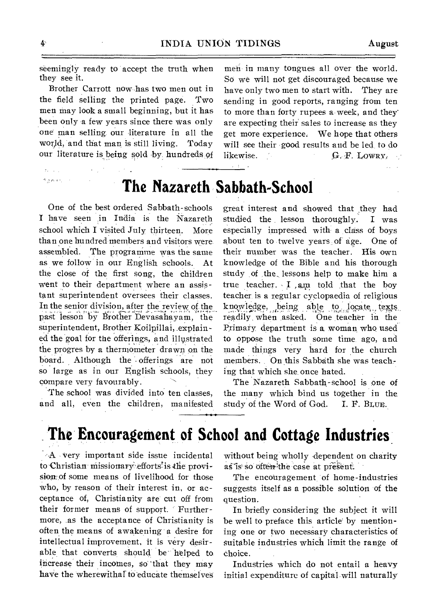seemingly ready to accept the truth when they see it.

Brother Carrott now has two men out in the field selling the printed page. Two men may look a small beginning, but it has been only a few years since there was only one man selling our literature in all the world, and that man is still living. Today our literature is being sold by hundreds,of

men in many tongues all over the world. So we will not get discouraged because we have only two men to start with. They are sending in good reports, ranging from ten to more than forty rupees a-week, and they' are expecting their sales to increase as they get more experience. We hope that others will see their good results and be led to do likewise.  $G.F. LOWRY.$ 

## **The Nazareth Sabbath-School**

 $2 - 1$ 

One of the best ordered Sabbath-schools I have seen in India is the Nazareth school which I visited July thirteen. More than one hundred members and visitors were. assembled. The programme was the same as we follow in our English schools. At the close of the first song, the children went to their department where an assistant superintendent oversees their classes. In the senior division, after the review of the past lesson by Brother Devasahayam, the superintendent, Brother Koilpillai, explained the goal for the offerings, and illustrated the progres by a thermometer drawn on the board. Although the offerings are not so large as in our English schools, they compare very favourably.

The school was divided into ten classes, and all, even the children, manifested great interest and showed that they had studied the lesson thoroughly. I was especially impressed with a class of boys about ten to twelve years, of age. One of their number was the teacher. His own knowledge of the Bible and his thorough study of the lessons help to make him a true teacher.  $I$  am told that the boy teacher, is a regular cyclopaedia of religious knowledge, being able to locate texts readily when asked. One teacher in the Primary department is a woman who used to oppose the truth some time, ago, and made things very hard for the church members. On this Sabbath she was teaching that which she once hated.

The Nazareth Sabbath-school is one of the many which bind us together in the study of the Word of God. I. F. BLUE.

# **The Encouragement of School and Cottage Industries**

A very important side issue incidental to Christian missionary efforts is the provision<sub>7</sub> of some means of livelihood for those who, by reason of their interest in, or acceptance of, Christianity ate' cut off from their former means of support. Furthermore, as the acceptance of Christianity is often the means of awakening a desire for intellectual improvement, it is very desirable that converts should be helped to increase' their incomes, so"that they may have the wherewithal to educate themselves without being wholly dependent on charity as is so often the case at present.

The encouragement of home-industries suggests itself as a possible solution of the question.

In briefly considering the subject it will be well to preface this article by mentioning one or two necessary characteristics of suitable industries which limit the range of choice.

Industries which do not entail a heavy initial expenditure of capital will naturally

 $\sigma_{\rm 2} = 10^{-1}$ h gunan.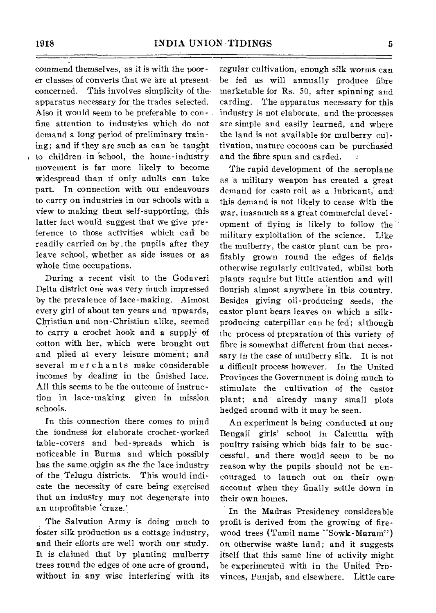commend themselves, as it is with the poorer classes of converts that we are at present concerned. This involves simplicity of the' apparatus necessary for the trades selected. Also it would seem to be preferable to confine attention to industries which do not demand a long period of preliminary training; and if they are such as can be taught to children in 'school, the home-industry movement is far more likely to become widespread than if only adults can take part. In connection with our endeavours to carry on industries in our schools with a view to making them self-supporting, this latter fact would suggest that we give preference to those activities which can be readily carried on by.the pupils after they leave school, whether as side issues or as whole time occupations.

During a recent visit to the Godaveri Delta district one was very much impressed by the prevalence of lace-making. Almost every girl of about ten years and upwards, Christian and non-Christian alike, seemed to carry a crochet hook and a supply of cotton with her, which were brought out and plied at every leisure moment; and several merchants make considerable incomes by dealing in the finished lace. All this seems to be the outcome of instruction in lace-making given in mission schools.

In this connection there comes to mind the fondness for elaborate crochet-worked table-covers and bed-spreads which is noticeable in Burma and which possibly has the same origin as the the lace industry of the Telugu districts. This would indicate the necessity of care being exercised that an industry may not degenerate into an unprofitable 'craze.'

The Salvation Army is doing much to foster silk production as a cottage industry, and their efforts are well worth our study. It is claimed that by planting mulberry trees round the edges of one acre of ground, without in any wise interfering with its

regular cultivation, enough silk worms can be fed as will annually produce fibre marketable for Rs. 50, after spinning and carding. The apparatus necessary for this industry is not elaborate, and the processes are simple and easily learned, and where the land is not available for mulberry cultivation, mature cocoons can be purchased and the fibre spun and carded.

The rapid development of the aeroplane as a military weapon has created a great demand for casto roil as a lubricant,' and this demand is not likely to cease with the war, inasmuch as a great commercial development of flying is likely to follow the military exploitation of the science. Like the mulberry, the castor plant can be profitably grown round the edges of fields other wise regularly cultivated, whilst both plants require but little attention and will flourish almost anywhere 'in this country. Besides giving oil-producing seeds, the castor plant bears leaves on which a silkproducing caterpillar can be fed; although the process of preparation of this variety of fibre is somewhat different from that necessary in the case of mulberry silk. It is not a difficult process however. In the United Provinces the Government is doing much to stimulate the cultivation of the castor plant; and already many small plots hedged around with it may be seen.

An experiment is being conducted at our Bengali girls' school in Calcutta with poultry raising which bids fair to be successful, and there would seem to be no reason why the pupils should not be encouraged to launch out on their ownaccount when they finally settle down in their own homes.

In the Madras Presidency considerable profit is derived from the growing of firewood trees (Tamil name "Sowk-Maram") on otherwise waste land; and it suggests itself that this same line of activity might be experimented with in the United Provinces, Punjab, and elsewhere. Little care-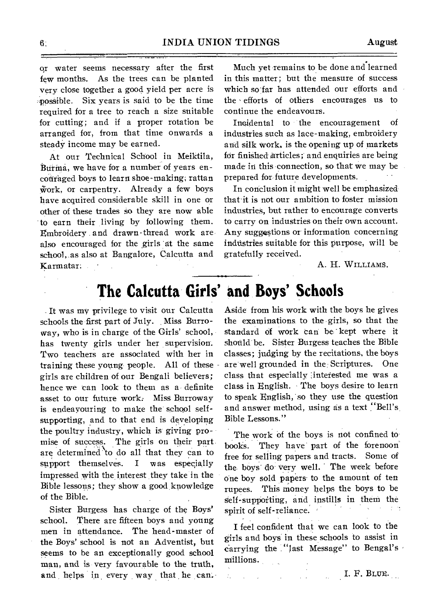qr water seems necessary after the first few months. As the trees can be planted very close together a good yield per acre is ::possible. Six years is said to be the time required for a tree to reach a size suitable for cutting; and if a proper rotation be arranged for, from that time onwards a steady income may be earned.

At our Technical School in Meiktila, Burma, we have for a number of years encouraged boys to learn shoe-making; rattan work, or carpentry. Already a few boys have acquired considerable skill in one or other of these trades so they are now able to earn their living by following them. Embroidery and drawn-thread work are, also encouraged for the girls at the same school, as also at Bangalore, Calcutta and Karmatar;

Much yet remains to be done and-learned in this matter; but the measure of success which so far has attended our efforts and the • efforts of others encourages us to continue the endeavours.

Indidental to the encouragement of industries such as lace-making, embroidery and silk work, is the opening up of markets fdr finished Articles; and enquiries are being made in this connection, so that we may be prepared for future developments.

In conclusion it might well be emphasized that it is not our ambition to foster mission industries, but rather to encourage converts to carry on industries on their own account. Any suggestions or information concerning industries suitable for this purpose, will be gratefully received.

#### A. H. WILLIAMS.

## **The Calcutta Girls' and Boys' Schools**

ć,

It was my privilege to visit our Calcutta schools the first part of July. Miss Burroway, who is in charge of the Girls' school, has twenty girls under her supervision. Two teachers are associated with her in training these young people. All of these girls are children of our Bengali believers; hence we can look to them as a definite asset to our future work: Miss Burroway is endeavouring to make the school selfsupporting, and to that end is developing the poultry industry, which is giving promise of success. The girls on their part are determined to do all that they can to support themselves. I was especially impressed with the interest they take in the Bible lessons; they show a good knowledge of the Bible.

Sister Burgess has charge of the Boys' school. There are fifteen boys and young men in attendance. The head-master of the Boys' school is not an Adventist, but seems to be an exceptionally good school man, and is very favourable to the truth, and helps in every way that he can. Aside from his work with the boys he gives the examinations, to the girls, so that the standard of work can be kept where it should be. Sister Burgess teaches the Bible classes; judging by the recitations, the boys are well grounded in the:Scriptures. One class that especially :interested me was a class in English. The boys desire to learn to speak English, so they use the question and answer method, using as a text "Bell's. Bible Lessons."

The work of the boys is not confined to books. They have part of the forenoon free for selling papers and tracts. Some of the boys do very well. The week before one boy sold papers- to the amount of ten rupees. This money helps the boys to be Self-supporting, and instills in them the spirit of self-reliance.

I feel confident that we can look to the girls and boys in these schools to assist in carrying the "last Message" to Bengal's millions.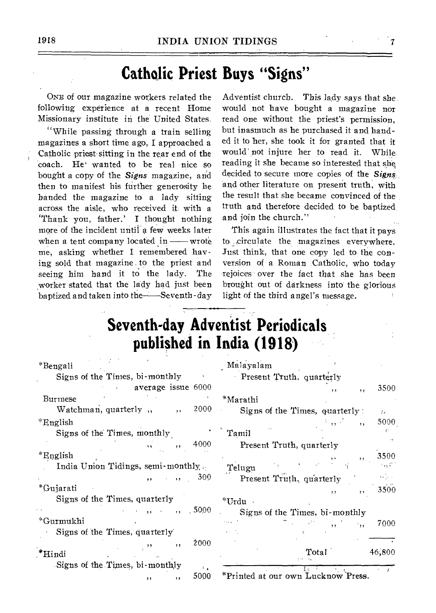#### **Catholic Priest Buys "Signs"**

ONE of our magazine workers related the following experience at a recent Home Missionary institute in the United States.

"While passing through a train selling magazines a short time ago, I approached a Catholic priest sitting in the rear end of the coach. He' wanted to be real nice so bought a copy of the *Signs* magazine, and then to manifest his further generosity he handed the magazine to a lady sitting across the aisle, who received it with a `Thank you, father.' I thought nothing more of the incident until a few weeks later when a tent company located  $in$ — wrote me, asking whether I remembered having sold that magazine. to, the priest and seeing him hand it to the lady. The worker stated that the lady had just been baptized and taken into the Seventh-day

Adventist church. This lady says that she would not have bought a magazine nor read one without the priest's permission, but inasmuch as he purchased it and handed it to her, she took it for granted that it would' not injure her to read it. While reading it she became so interested that she decided to secure more copies of the *Signs* and other literature on present truth, with the result that she became convinced of the truth and therefore decided to be baptized and join the church."

This again illustrates the fact that it pays to ,,circulate the magazines everywhere. Just think, that one copy led to the conversion of a Roman Catholic, who today rejoices over the fact that she has been brought out of darkness into the glorious light of the third angel's message.

## **Seventh-day Adventist Periodicals published in India (1918)**

| *Bengali                                                 | Malayalam                                       |
|----------------------------------------------------------|-------------------------------------------------|
| Signs of the Times, bi-monthly                           | Present Truth, quarterly                        |
| average issue 6000                                       | 3500<br>, ,<br>, ,                              |
| Burmese                                                  | *Marathi                                        |
| 2000<br>Watchman, quarterly,<br>$\overline{\phantom{a}}$ | Signs of the Times, quarterly:<br>$\mathcal{F}$ |
| *English                                                 | 5000                                            |
| Signs of the Times, monthly                              | Tamil                                           |
| 4000                                                     | Present Truth, quarterly                        |
| *English                                                 | 3500                                            |
| India Union Tidings, semi-monthly                        | Telugu                                          |
| 300<br>, ,                                               | Present Truth, quarterly                        |
| *Gujarati                                                | 3500<br>, ,<br>$\cdots$                         |
| Signs of the Times, quarterly                            | $^*\mathrm{Urdu}$                               |
| , 5000                                                   | Signs of the Times, bi-monthly                  |
| *Gurmukhi                                                | 7000                                            |
| Signs of the Times, quarterly                            |                                                 |
| 2000<br>$\cdots$<br>$*$ Hindi                            | 46,800<br>Total                                 |
| Signs of the Times, bi-monthly<br>۰.                     |                                                 |
| 5000<br>,,<br>,,                                         | *Printed at our own Lucknow Press.              |